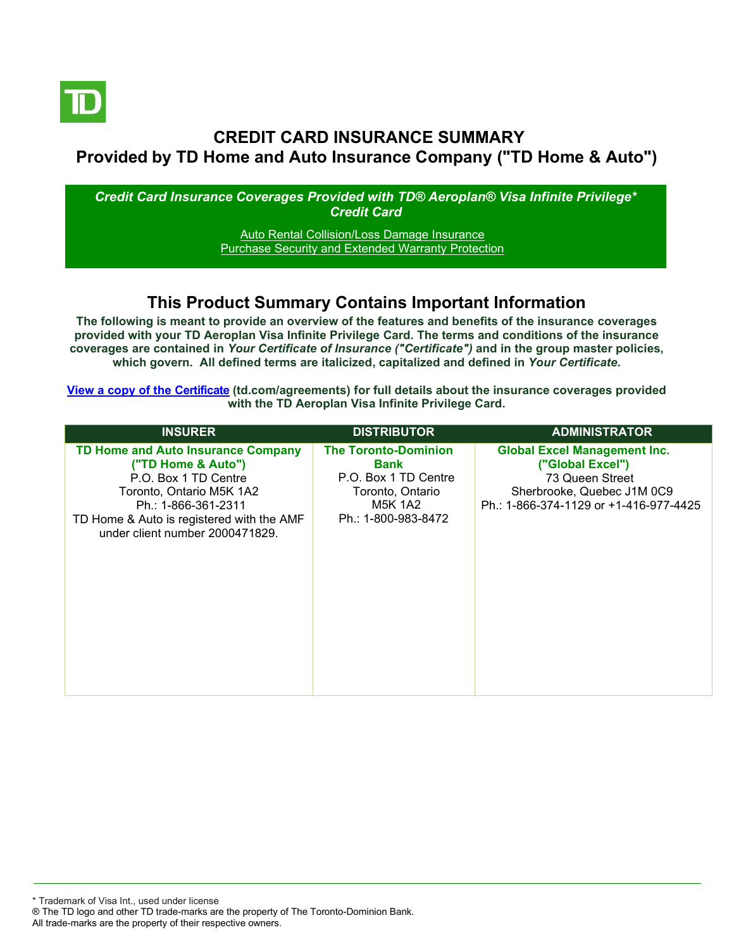

## **CREDIT CARD INSURANCE SUMMARY Provided by TD Home and Auto Insurance Company ("TD Home & Auto")**

*Credit Card Insurance Coverages Provided with TD® Aeroplan® Visa Infinite Privilege\* Credit Card*

> [Auto Rental Collision/Loss Damage Insurance](#page-3-0) [Purchase Security and Extended Warranty Protection](#page-4-0)

## **This Product Summary Contains Important Information**

**The following is meant to provide an overview of the features and benefits of the insurance coverages provided with your TD Aeroplan Visa Infinite Privilege Card. The terms and conditions of the insurance coverages are contained in** *Your Certificate of Insurance ("Certificate")* **and in the group master policies, which govern. All defined terms are italicized, capitalized and defined in** *Your Certificate***.**

**[View a copy of the Certificate](https://www.td.com/ca/en/personal-banking/how-to/manage-my-credit-card/getting-started/?tdtab=4) (td.com/agreements) for full details about the insurance coverages provided with the TD Aeroplan Visa Infinite Privilege Card.**

| <b>INSURER</b>                                                                                                                                                                                                      | <b>DISTRIBUTOR</b>                                                                                                       | <b>ADMINISTRATOR</b>                                                                                                                               |
|---------------------------------------------------------------------------------------------------------------------------------------------------------------------------------------------------------------------|--------------------------------------------------------------------------------------------------------------------------|----------------------------------------------------------------------------------------------------------------------------------------------------|
| TD Home and Auto Insurance Company<br>("TD Home & Auto")<br>P.O. Box 1 TD Centre<br>Toronto, Ontario M5K 1A2<br>Ph.: 1-866-361-2311<br>TD Home & Auto is registered with the AMF<br>under client number 2000471829. | <b>The Toronto-Dominion</b><br>Bank<br>P.O. Box 1 TD Centre<br>Toronto, Ontario<br><b>M5K 1A2</b><br>Ph.: 1-800-983-8472 | <b>Global Excel Management Inc.</b><br>("Global Excel")<br>73 Queen Street<br>Sherbrooke, Quebec J1M 0C9<br>Ph.: 1-866-374-1129 or +1-416-977-4425 |

\* Trademark of Visa Int., used under license ® The TD logo and other TD trade-marks are the property of The Toronto-Dominion Bank. All trade-marks are the property of their respective owners.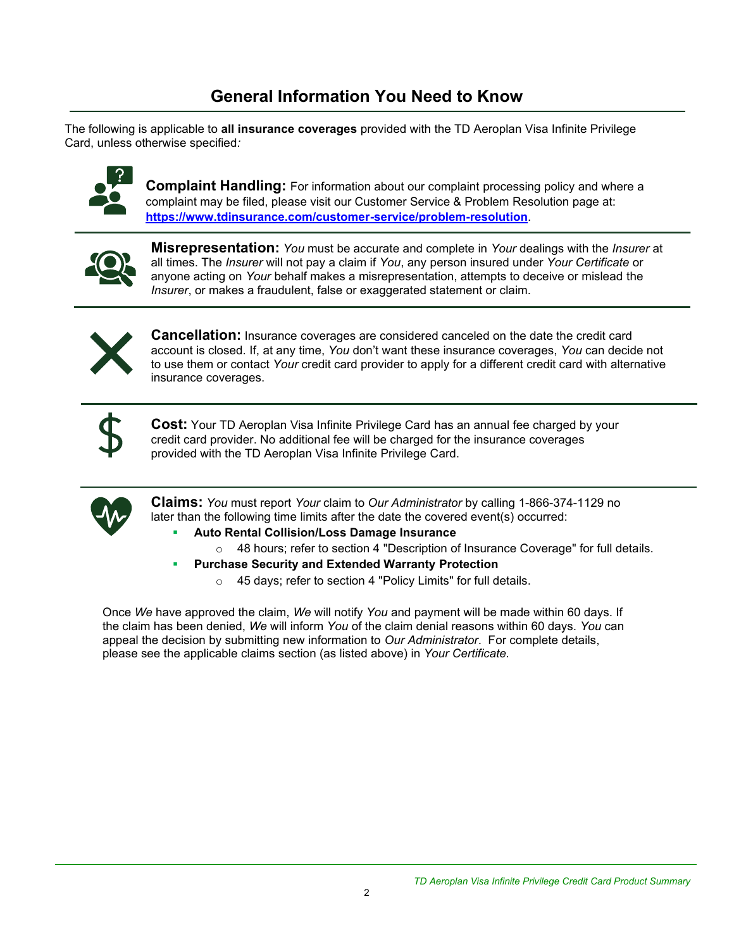# **General Information You Need to Know**

The following is applicable to **all insurance coverages** provided with the TD Aeroplan Visa Infinite Privilege Card, unless otherwise specified*:*



**Complaint Handling:** For information about our complaint processing policy and where a complaint may be filed, please visit our Customer Service & Problem Resolution page at: **<https://www.tdinsurance.com/customer-service/problem-resolution>**.



**Misrepresentation:** *You* must be accurate and complete in *Your* dealings with the *Insurer* at all times. The *Insurer* will not pay a claim if *You*, any person insured under *Your Certificate* or anyone acting on *Your* behalf makes a misrepresentation, attempts to deceive or mislead the *Insurer*, or makes a fraudulent, false or exaggerated statement or claim.



**Cancellation:** Insurance coverages are considered canceled on the date the credit card account is closed. If, at any time, *You* don't want these insurance coverages, *You* can decide not to use them or contact *Your* credit card provider to apply for a different credit card with alternative insurance coverages.



**Cost:** Your TD Aeroplan Visa Infinite Privilege Card has an annual fee charged by your credit card provider. No additional fee will be charged for the insurance coverages provided with the TD Aeroplan Visa Infinite Privilege Card.



**Claims:** *You* must report *Your* claim to *Our Administrator* by calling 1-866-374-1129 no later than the following time limits after the date the covered event(s) occurred:

- **Auto Rental Collision/Loss Damage Insurance** 
	- o 48 hours; refer to section 4 "Description of Insurance Coverage" for full details.
- **Purchase Security and Extended Warranty Protection** 
	- o 45 days; refer to section 4 "Policy Limits" for full details.

Once *We* have approved the claim, *We* will notify *You* and payment will be made within 60 days. If the claim has been denied, *We* will inform *You* of the claim denial reasons within 60 days. *You* can appeal the decision by submitting new information to *Our Administrator*. For complete details, please see the applicable claims section (as listed above) in *Your Certificate.*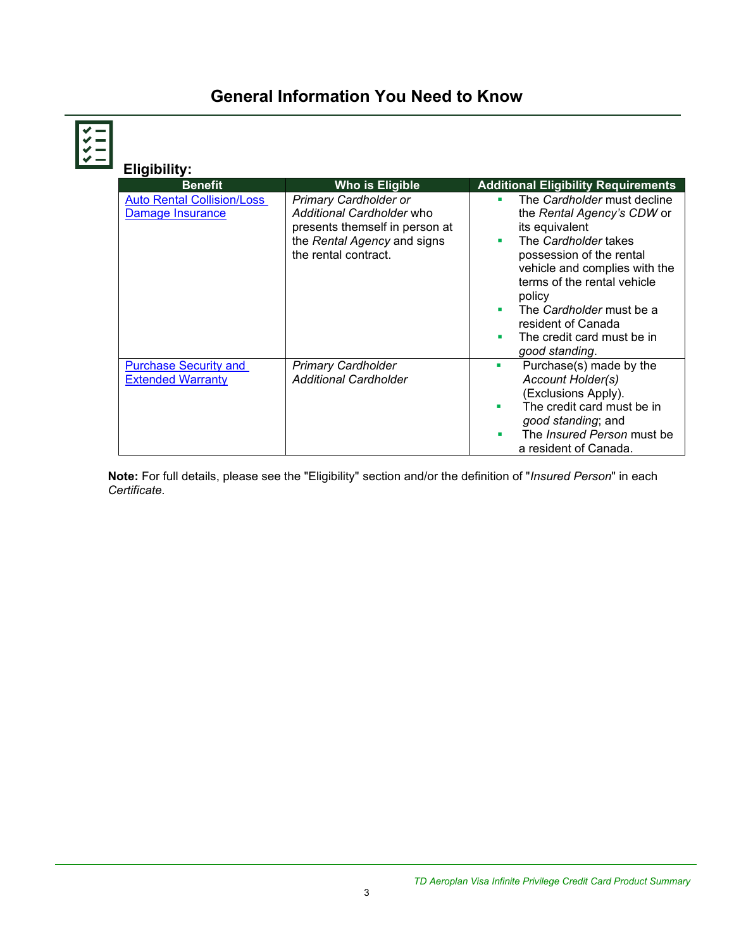# **General Information You Need to Know**

KKK

| Eligibility:                                             |                                                                                                                                                    |                                                                                                                                                                                                                                                                                                                            |
|----------------------------------------------------------|----------------------------------------------------------------------------------------------------------------------------------------------------|----------------------------------------------------------------------------------------------------------------------------------------------------------------------------------------------------------------------------------------------------------------------------------------------------------------------------|
| <b>Benefit</b>                                           | Who is Eligible                                                                                                                                    | <b>Additional Eligibility Requirements</b>                                                                                                                                                                                                                                                                                 |
| <b>Auto Rental Collision/Loss</b><br>Damage Insurance    | <b>Primary Cardholder or</b><br>Additional Cardholder who<br>presents themself in person at<br>the Rental Agency and signs<br>the rental contract. | The Cardholder must decline<br>٠<br>the Rental Agency's CDW or<br>its equivalent<br>The Cardholder takes<br>٠<br>possession of the rental<br>vehicle and complies with the<br>terms of the rental vehicle<br>policy<br>The Cardholder must be a<br>٠<br>resident of Canada<br>The credit card must be in<br>good standing. |
| <b>Purchase Security and</b><br><b>Extended Warranty</b> | <b>Primary Cardholder</b><br><b>Additional Cardholder</b>                                                                                          | Purchase(s) made by the<br>ш<br>Account Holder(s)<br>(Exclusions Apply).<br>The credit card must be in<br>good standing; and<br>The <i>Insured Person</i> must be<br>п<br>a resident of Canada.                                                                                                                            |

**Note:** For full details, please see the "Eligibility" section and/or the definition of "*Insured Person*" in each *Certificate*.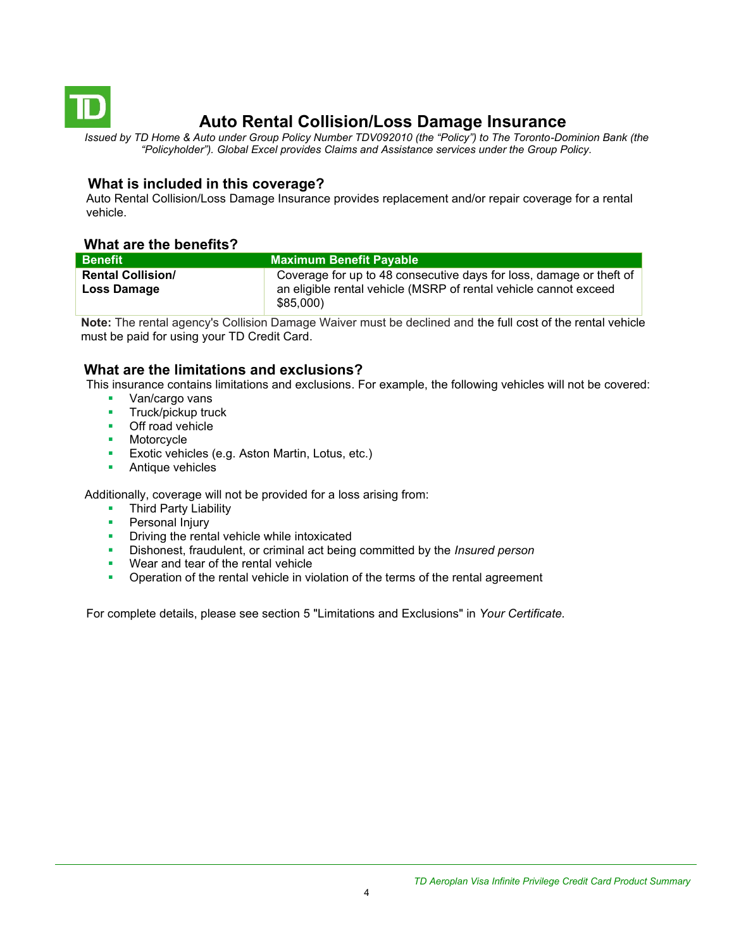<span id="page-3-0"></span>

# **Auto Rental Collision/Loss Damage Insurance**

*Issued by TD Home & Auto under Group Policy Number TDV092010 (the "Policy") to The Toronto-Dominion Bank (the "Policyholder"). Global Excel provides Claims and Assistance services under the Group Policy.*

## **What is included in this coverage?**

Auto Rental Collision/Loss Damage Insurance provides replacement and/or repair coverage for a rental vehicle.

## **What are the benefits?**

| <b>Benefit</b>           | <b>Maximum Benefit Pavable</b>                                               |
|--------------------------|------------------------------------------------------------------------------|
| <b>Rental Collision/</b> | Coverage for up to 48 consecutive days for loss, damage or theft of          |
| <b>Loss Damage</b>       | an eligible rental vehicle (MSRP of rental vehicle cannot exceed<br>\$85,000 |

**Note:** The rental agency's Collision Damage Waiver must be declined and the full cost of the rental vehicle must be paid for using your TD Credit Card.

## **What are the limitations and exclusions?**

This insurance contains limitations and exclusions. For example, the following vehicles will not be covered:

- Van/cargo vans
- **■** Truck/pickup truck
- Off road vehicle
- Motorcycle
- Exotic vehicles (e.g. Aston Martin, Lotus, etc.)
- Antique vehicles

Additionally, coverage will not be provided for a loss arising from:

- **Third Party Liability**
- Personal Injury
- **•** Driving the rental vehicle while intoxicated
- Dishonest, fraudulent, or criminal act being committed by the *Insured person*
- Wear and tear of the rental vehicle
- **•** Operation of the rental vehicle in violation of the terms of the rental agreement

For complete details, please see section 5 "Limitations and Exclusions" in *Your Certificate.*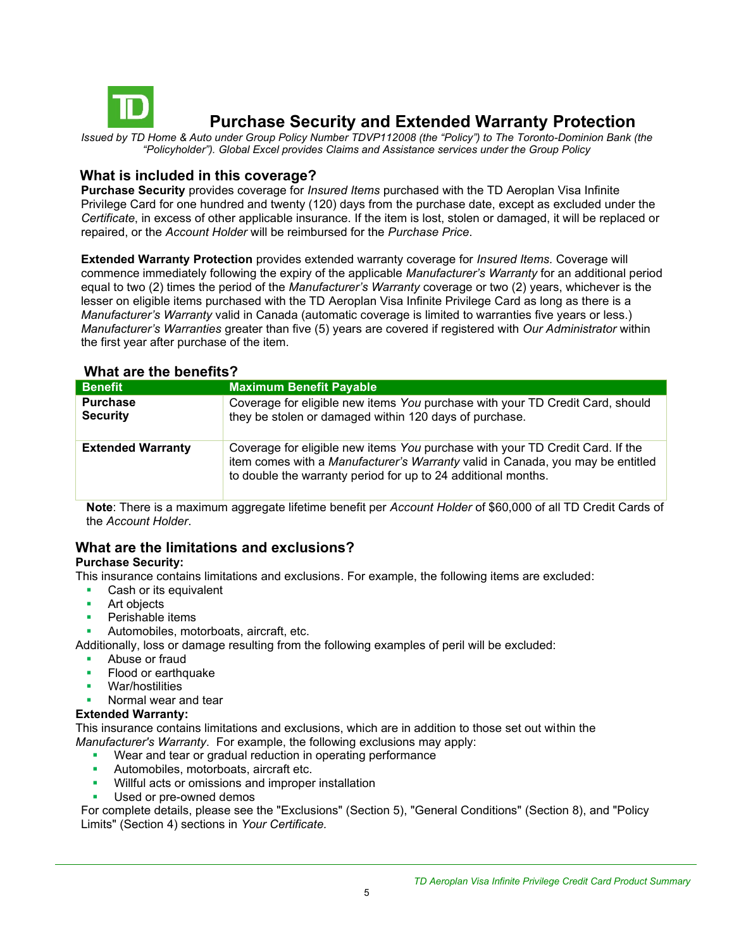<span id="page-4-0"></span>

## **Purchase Security and Extended Warranty Protection**

*Issued by TD Home & Auto under Group Policy Number TDVP112008 (the "Policy") to The Toronto-Dominion Bank (the "Policyholder"). Global Excel provides Claims and Assistance services under the Group Policy*

## **What is included in this coverage?**

**Purchase Security** provides coverage for *Insured Items* purchased with the TD Aeroplan Visa Infinite Privilege Card for one hundred and twenty (120) days from the purchase date, except as excluded under the *Certificate*, in excess of other applicable insurance. If the item is lost, stolen or damaged, it will be replaced or repaired, or the *Account Holder* will be reimbursed for the *Purchase Price*.

**Extended Warranty Protection** provides extended warranty coverage for *Insured Items.* Coverage will commence immediately following the expiry of the applicable *Manufacturer's Warranty* for an additional period equal to two (2) times the period of the *Manufacturer's Warranty* coverage or two (2) years, whichever is the lesser on eligible items purchased with the TD Aeroplan Visa Infinite Privilege Card as long as there is a *Manufacturer's Warranty* valid in Canada (automatic coverage is limited to warranties five years or less.) *Manufacturer's Warranties* greater than five (5) years are covered if registered with *Our Administrator* within the first year after purchase of the item.

## **What are the benefits?**

| <b>Benefit</b>                     | <b>Maximum Benefit Payable</b>                                                                                                                                                                                                   |  |
|------------------------------------|----------------------------------------------------------------------------------------------------------------------------------------------------------------------------------------------------------------------------------|--|
| <b>Purchase</b><br><b>Security</b> | Coverage for eligible new items You purchase with your TD Credit Card, should<br>they be stolen or damaged within 120 days of purchase.                                                                                          |  |
| <b>Extended Warranty</b>           | Coverage for eligible new items You purchase with your TD Credit Card. If the<br>item comes with a Manufacturer's Warranty valid in Canada, you may be entitled<br>to double the warranty period for up to 24 additional months. |  |

**Note**: There is a maximum aggregate lifetime benefit per *Account Holder* of \$60,000 of all TD Credit Cards of the *Account Holder*.

## **What are the limitations and exclusions?**

## **Purchase Security:**

This insurance contains limitations and exclusions. For example, the following items are excluded:

- Cash or its equivalent
- Art objects
- Perishable items
- Automobiles, motorboats, aircraft, etc.

Additionally, loss or damage resulting from the following examples of peril will be excluded:

- Abuse or fraud
- Flood or earthquake
- War/hostilities
- Normal wear and tear

### **Extended Warranty:**

This insurance contains limitations and exclusions, which are in addition to those set out within the *Manufacturer's Warranty*. For example, the following exclusions may apply:

- Wear and tear or gradual reduction in operating performance
- **EXECUTE:** Automobiles, motorboats, aircraft etc.
- **•** Willful acts or omissions and improper installation
- Used or pre-owned demos

For complete details, please see the "Exclusions" (Section 5), "General Conditions" (Section 8), and "Policy Limits" (Section 4) sections in *Your Certificate.*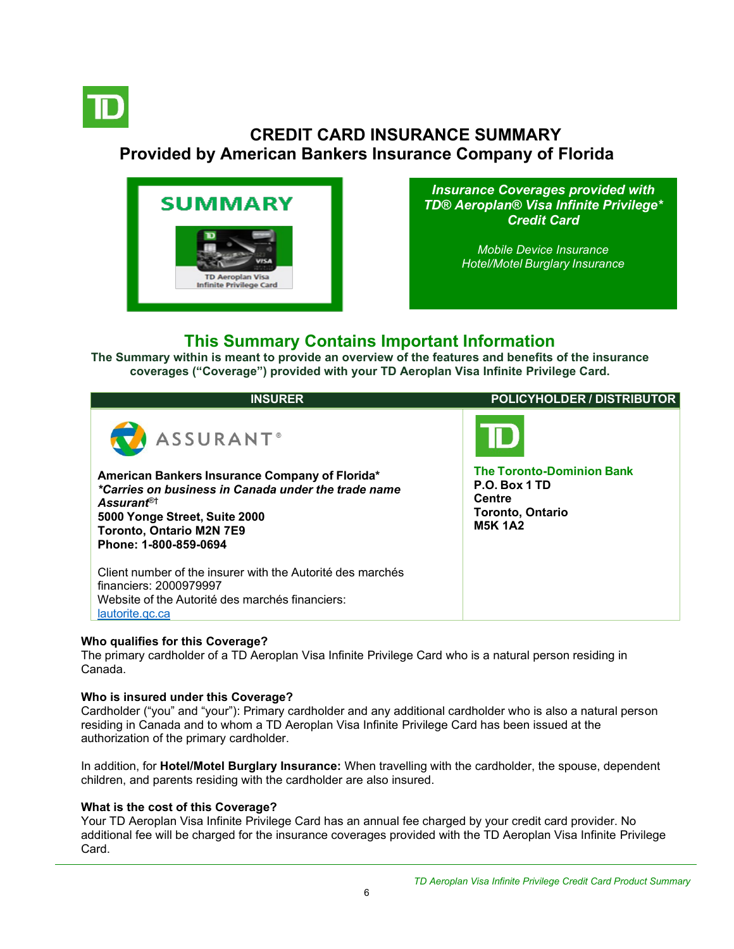

# <span id="page-5-0"></span>**CREDIT CARD INSURANCE SUMMARY Provided by American Bankers Insurance Company of Florida**



*Insurance Coverages provided with TD® Aeroplan® Visa Infinite Privilege\* Credit Card*

> *[Mobile Device Insurance](#page-5-0) [Hotel/Motel](#page-5-0) Burglary Insurance*

## **This Summary Contains Important Information**

**The Summary within is meant to provide an overview of the features and benefits of the insurance coverages ("Coverage") provided with your TD Aeroplan Visa Infinite Privilege Card.**

| <b>INSURER</b>                                                                                                                                                                            | <b>POLICYHOLDER / DISTRIBUTOR</b>                                                             |
|-------------------------------------------------------------------------------------------------------------------------------------------------------------------------------------------|-----------------------------------------------------------------------------------------------|
| ASSURANT <sup>®</sup><br>American Bankers Insurance Company of Florida*<br>*Carries on business in Canada under the trade name<br>Assurant <sup>®†</sup><br>5000 Yonge Street, Suite 2000 | <b>The Toronto-Dominion Bank</b><br>P.O. Box 1 TD<br><b>Centre</b><br><b>Toronto, Ontario</b> |
| <b>Toronto, Ontario M2N 7E9</b><br>Phone: 1-800-859-0694                                                                                                                                  | <b>M5K 1A2</b>                                                                                |
| Client number of the insurer with the Autorité des marchés<br>financiers: 2000979997<br>Website of the Autorité des marchés financiers:<br>lautorite.gc.ca                                |                                                                                               |

### **Who qualifies for this Coverage?**

The primary cardholder of a TD Aeroplan Visa Infinite Privilege Card who is a natural person residing in Canada.

### **Who is insured under this Coverage?**

Cardholder ("you" and "your"): Primary cardholder and any additional cardholder who is also a natural person residing in Canada and to whom a TD Aeroplan Visa Infinite Privilege Card has been issued at the authorization of the primary cardholder.

In addition, for **Hotel/Motel Burglary Insurance:** When travelling with the cardholder, the spouse, dependent children, and parents residing with the cardholder are also insured.

### **What is the cost of this Coverage?**

Your TD Aeroplan Visa Infinite Privilege Card has an annual fee charged by your credit card provider. No additional fee will be charged for the insurance coverages provided with the TD Aeroplan Visa Infinite Privilege Card.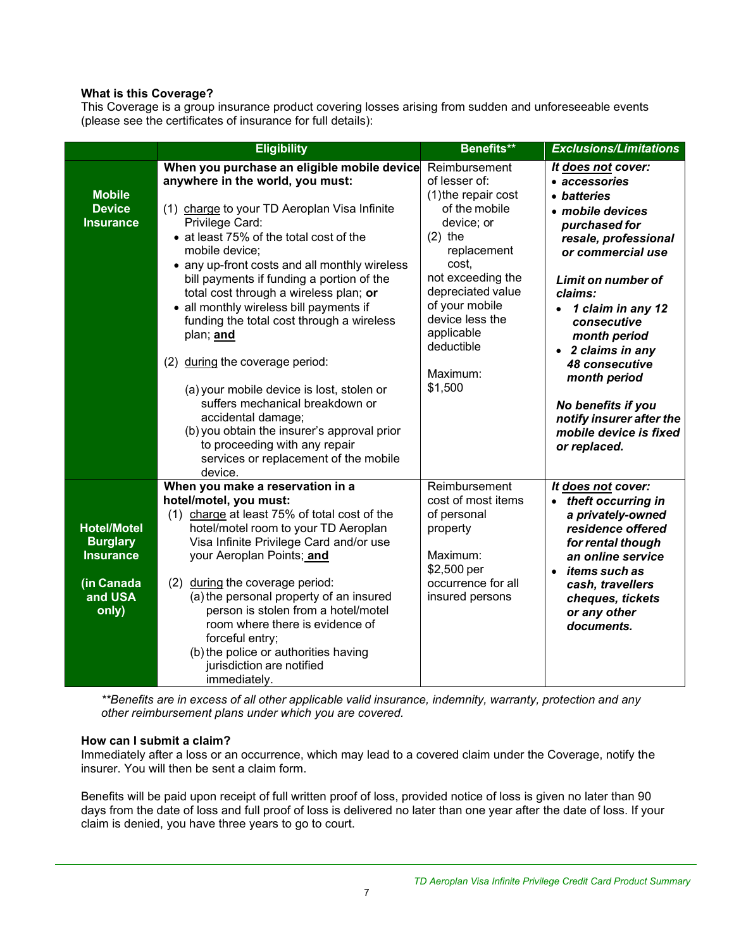## **What is this Coverage?**

This Coverage is a group insurance product covering losses arising from sudden and unforeseeable events (please see the certificates of insurance for full details):

|                                                                                             | <b>Eligibility</b>                                                                                                                                                                                                                                                                                                                                                                                                                                                                                                                                                                                                                                                                                                                         | Benefits**                                                                                                                                                                                                                                 | <b>Exclusions/Limitations</b>                                                                                                                                                                                                                                                                                                                                                  |
|---------------------------------------------------------------------------------------------|--------------------------------------------------------------------------------------------------------------------------------------------------------------------------------------------------------------------------------------------------------------------------------------------------------------------------------------------------------------------------------------------------------------------------------------------------------------------------------------------------------------------------------------------------------------------------------------------------------------------------------------------------------------------------------------------------------------------------------------------|--------------------------------------------------------------------------------------------------------------------------------------------------------------------------------------------------------------------------------------------|--------------------------------------------------------------------------------------------------------------------------------------------------------------------------------------------------------------------------------------------------------------------------------------------------------------------------------------------------------------------------------|
| <b>Mobile</b><br><b>Device</b><br><b>Insurance</b>                                          | When you purchase an eligible mobile device Reimbursement<br>anywhere in the world, you must:<br>(1) charge to your TD Aeroplan Visa Infinite<br>Privilege Card:<br>• at least 75% of the total cost of the<br>mobile device;<br>• any up-front costs and all monthly wireless<br>bill payments if funding a portion of the<br>total cost through a wireless plan; or<br>all monthly wireless bill payments if<br>funding the total cost through a wireless<br>plan; and<br>(2) during the coverage period:<br>(a) your mobile device is lost, stolen or<br>suffers mechanical breakdown or<br>accidental damage;<br>(b) you obtain the insurer's approval prior<br>to proceeding with any repair<br>services or replacement of the mobile | of lesser of:<br>(1) the repair cost<br>of the mobile<br>device; or<br>$(2)$ the<br>replacement<br>cost.<br>not exceeding the<br>depreciated value<br>of your mobile<br>device less the<br>applicable<br>deductible<br>Maximum:<br>\$1,500 | It does not cover:<br>• accessories<br>• batteries<br>· mobile devices<br>purchased for<br>resale, professional<br>or commercial use<br>Limit on number of<br>claims:<br>• 1 claim in any 12<br>consecutive<br>month period<br>• 2 claims in any<br>48 consecutive<br>month period<br>No benefits if you<br>notify insurer after the<br>mobile device is fixed<br>or replaced. |
| <b>Hotel/Motel</b><br><b>Burglary</b><br><b>Insurance</b><br>(in Canada<br>and USA<br>only) | device.<br>When you make a reservation in a<br>hotel/motel, you must:<br>(1) charge at least 75% of total cost of the<br>hotel/motel room to your TD Aeroplan<br>Visa Infinite Privilege Card and/or use<br>your Aeroplan Points; and<br>(2)<br>during the coverage period:<br>(a) the personal property of an insured<br>person is stolen from a hotel/motel<br>room where there is evidence of<br>forceful entry;<br>(b) the police or authorities having<br>jurisdiction are notified<br>immediately.                                                                                                                                                                                                                                   | Reimbursement<br>cost of most items<br>of personal<br>property<br>Maximum:<br>\$2,500 per<br>occurrence for all<br>insured persons                                                                                                         | It does not cover:<br>• theft occurring in<br>a privately-owned<br>residence offered<br>for rental though<br>an online service<br>items such as<br>cash, travellers<br>cheques, tickets<br>or any other<br>documents.                                                                                                                                                          |

*\*\*Benefits are in excess of all other applicable valid insurance, indemnity, warranty, protection and any other reimbursement plans under which you are covered.*

### **How can I submit a claim?**

Immediately after a loss or an occurrence, which may lead to a covered claim under the Coverage, notify the insurer. You will then be sent a claim form.

Benefits will be paid upon receipt of full written proof of loss, provided notice of loss is given no later than 90 days from the date of loss and full proof of loss is delivered no later than one year after the date of loss. If your claim is denied, you have three years to go to court.